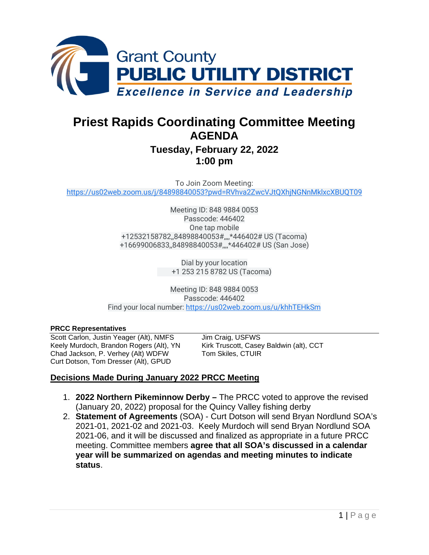

# **Priest Rapids Coordinating Committee Meeting AGENDA**

# **Tuesday, February 22, 2022 1:00 pm**

To Join Zoom Meeting: [https://us02web.zoom.us/j/84898840053?pwd=RVhva2ZwcVJtQXhjNGNnMklxcXBUQT09](https://www.google.com/url?q=https://us02web.zoom.us/j/84898840053?pwd%3DRVhva2ZwcVJtQXhjNGNnMklxcXBUQT09&sa=D&source=calendar&usd=2&usg=AOvVaw3pbPV0lPeHTcwnMRo6xdvN)

> Meeting ID: 848 9884 0053 Passcode: 446402 One tap mobile +12532158782,,84898840053#,,,,\*446402# US (Tacoma) +16699006833,,84898840053#,,,,\*446402# US (San Jose)

> > Dial by your location +1 253 215 8782 US (Tacoma)

Meeting ID: 848 9884 0053 Passcode: 446402 Find your local number: [https://us02web.zoom.us/u/khhTEHkSm](https://www.google.com/url?q=https://us02web.zoom.us/u/khhTEHkSm&sa=D&source=calendar&usd=2&usg=AOvVaw1F4tfOZLhLTIjwZ-j3Kj_9)

#### **PRCC Representatives**

Scott Carlon, Justin Yeager (Alt), NMFS Jim Craig, USFWS Keely Murdoch, Brandon Rogers (Alt), YN Kirk Truscott, Casey Baldwin (alt), CCT Chad Jackson, P. Verhey (Alt) WDFW Tom Skiles, CTUIR Curt Dotson, Tom Dresser (Alt), GPUD

#### **Decisions Made During January 2022 PRCC Meeting**

- 1. **2022 Northern Pikeminnow Derby –** The PRCC voted to approve the revised (January 20, 2022) proposal for the Quincy Valley fishing derby
- 2. **Statement of Agreements** (SOA) Curt Dotson will send Bryan Nordlund SOA's 2021-01, 2021-02 and 2021-03. Keely Murdoch will send Bryan Nordlund SOA 2021-06, and it will be discussed and finalized as appropriate in a future PRCC meeting. Committee members **agree that all SOA's discussed in a calendar year will be summarized on agendas and meeting minutes to indicate status**.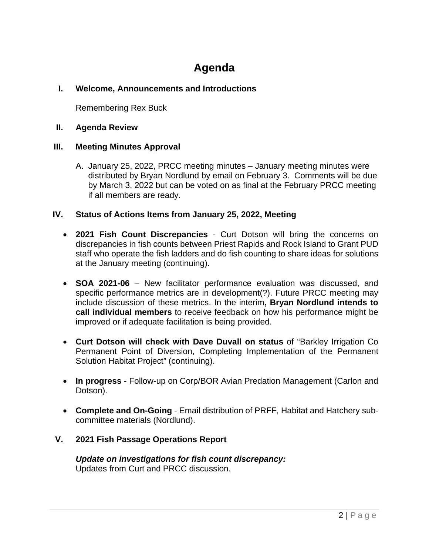# **Agenda**

# **I. Welcome, Announcements and Introductions**

Remembering Rex Buck

#### **II. Agenda Review**

#### **III. Meeting Minutes Approval**

A. January 25, 2022, PRCC meeting minutes – January meeting minutes were distributed by Bryan Nordlund by email on February 3. Comments will be due by March 3, 2022 but can be voted on as final at the February PRCC meeting if all members are ready.

#### **IV. Status of Actions Items from January 25, 2022, Meeting**

- **2021 Fish Count Discrepancies** Curt Dotson will bring the concerns on discrepancies in fish counts between Priest Rapids and Rock Island to Grant PUD staff who operate the fish ladders and do fish counting to share ideas for solutions at the January meeting (continuing).
- **SOA 2021-06** New facilitator performance evaluation was discussed, and specific performance metrics are in development(?). Future PRCC meeting may include discussion of these metrics. In the interim**, Bryan Nordlund intends to call individual members** to receive feedback on how his performance might be improved or if adequate facilitation is being provided.
- **Curt Dotson will check with Dave Duvall on status** of "Barkley Irrigation Co Permanent Point of Diversion, Completing Implementation of the Permanent Solution Habitat Project" (continuing).
- **In progress** Follow-up on Corp/BOR Avian Predation Management (Carlon and Dotson).
- **Complete and On-Going** Email distribution of PRFF, Habitat and Hatchery subcommittee materials (Nordlund).

# **V. 2021 Fish Passage Operations Report**

*Update on investigations for fish count discrepancy:* Updates from Curt and PRCC discussion.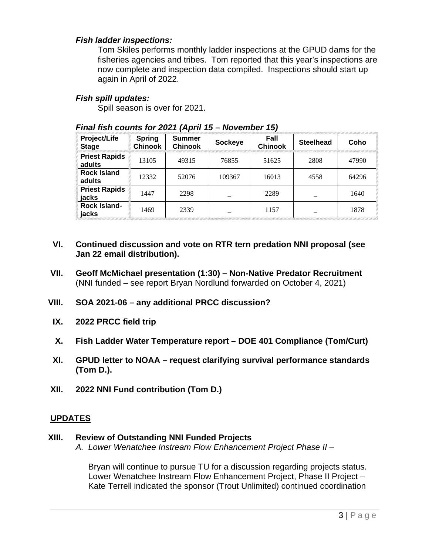#### *Fish ladder inspections:*

Tom Skiles performs monthly ladder inspections at the GPUD dams for the fisheries agencies and tribes. Tom reported that this year's inspections are now complete and inspection data compiled. Inspections should start up again in April of 2022.

#### *Fish spill updates:*

Spill season is over for 2021.

| Project/Life<br><b>Stage</b>   | <b>Spring</b><br><b>Chinook</b> | <b>Summer</b><br><b>Chinook</b> | <b>Sockeye</b> | Fall<br><b>Chinook</b> | <b>Steelhead</b> | Coho  |
|--------------------------------|---------------------------------|---------------------------------|----------------|------------------------|------------------|-------|
| <b>Priest Rapids</b><br>adults | 13105                           | 49315                           | 76855          | 51625                  | 2808             | 47990 |
| <b>Rock Island</b><br>adults   | 12332                           | 52076                           | 109367         | 16013                  | 4558             | 64296 |
| <b>Priest Rapids</b><br>jacks  | 1447                            | 2298                            |                | 2289                   |                  | 1640  |
| Rock Island-<br>jacks          | 1469                            | 2339                            |                | 1157                   |                  | 1878  |

#### *Final fish counts for 2021 (April 15 – November 15)*

- **VI. Continued discussion and vote on RTR tern predation NNI proposal (see Jan 22 email distribution).**
- **VII. Geoff McMichael presentation (1:30) – Non-Native Predator Recruitment**  (NNI funded – see report Bryan Nordlund forwarded on October 4, 2021)
- **VIII. SOA 2021-06 – any additional PRCC discussion?**
- **IX. 2022 PRCC field trip**
- **X. Fish Ladder Water Temperature report – DOE 401 Compliance (Tom/Curt)**
- **XI. GPUD letter to NOAA – request clarifying survival performance standards (Tom D.).**
- **XII. 2022 NNI Fund contribution (Tom D.)**

# **UPDATES**

#### **XIII. Review of Outstanding NNI Funded Projects**

*A. Lower Wenatchee Instream Flow Enhancement Project Phase II* –

Bryan will continue to pursue TU for a discussion regarding projects status. Lower Wenatchee Instream Flow Enhancement Project, Phase II Project – Kate Terrell indicated the sponsor (Trout Unlimited) continued coordination